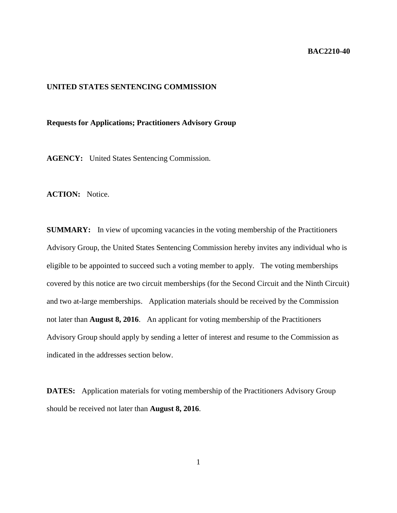## **BAC2210-40**

## **UNITED STATES SENTENCING COMMISSION**

## **Requests for Applications; Practitioners Advisory Group**

**AGENCY:** United States Sentencing Commission.

ACTION: Notice.

**SUMMARY:** In view of upcoming vacancies in the voting membership of the Practitioners Advisory Group, the United States Sentencing Commission hereby invites any individual who is eligible to be appointed to succeed such a voting member to apply. The voting memberships covered by this notice are two circuit memberships (for the Second Circuit and the Ninth Circuit) and two at-large memberships. Application materials should be received by the Commission not later than **August 8, 2016**. An applicant for voting membership of the Practitioners Advisory Group should apply by sending a letter of interest and resume to the Commission as indicated in the addresses section below.

**DATES:** Application materials for voting membership of the Practitioners Advisory Group should be received not later than **August 8, 2016**.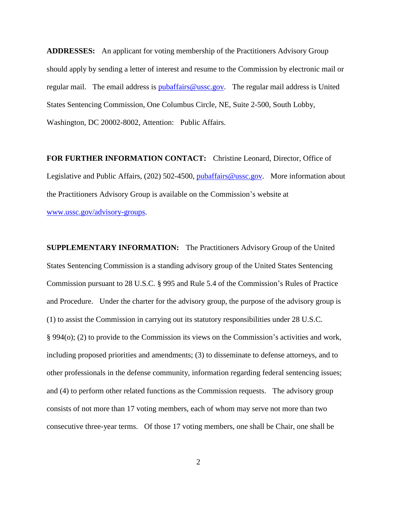**ADDRESSES:** An applicant for voting membership of the Practitioners Advisory Group should apply by sending a letter of interest and resume to the Commission by electronic mail or regular mail. The email address is [pubaffairs@ussc.gov.](mailto:pubaffairs@ussc.gov) The regular mail address is United States Sentencing Commission, One Columbus Circle, NE, Suite 2-500, South Lobby, Washington, DC 20002-8002, Attention: Public Affairs.

**FOR FURTHER INFORMATION CONTACT:** Christine Leonard, Director, Office of Legislative and Public Affairs, (202) 502-4500, [pubaffairs@ussc.gov.](mailto:pubaffairs@ussc.gov) More information about the Practitioners Advisory Group is available on the Commission's website at

[www.ussc.gov/advisory-groups.](http://www.ussc.gov/advisory-groups)

**SUPPLEMENTARY INFORMATION:** The Practitioners Advisory Group of the United States Sentencing Commission is a standing advisory group of the United States Sentencing Commission pursuant to 28 U.S.C. § 995 and Rule 5.4 of the Commission's Rules of Practice and Procedure. Under the charter for the advisory group, the purpose of the advisory group is (1) to assist the Commission in carrying out its statutory responsibilities under 28 U.S.C. § 994(o); (2) to provide to the Commission its views on the Commission's activities and work, including proposed priorities and amendments; (3) to disseminate to defense attorneys, and to other professionals in the defense community, information regarding federal sentencing issues; and (4) to perform other related functions as the Commission requests. The advisory group consists of not more than 17 voting members, each of whom may serve not more than two consecutive three-year terms. Of those 17 voting members, one shall be Chair, one shall be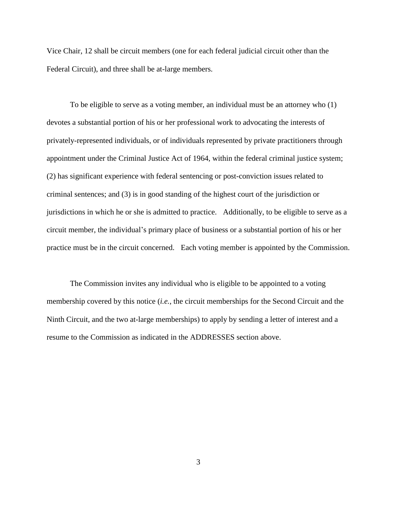Vice Chair, 12 shall be circuit members (one for each federal judicial circuit other than the Federal Circuit), and three shall be at-large members.

To be eligible to serve as a voting member, an individual must be an attorney who (1) devotes a substantial portion of his or her professional work to advocating the interests of privately-represented individuals, or of individuals represented by private practitioners through appointment under the Criminal Justice Act of 1964, within the federal criminal justice system; (2) has significant experience with federal sentencing or post-conviction issues related to criminal sentences; and (3) is in good standing of the highest court of the jurisdiction or jurisdictions in which he or she is admitted to practice. Additionally, to be eligible to serve as a circuit member, the individual's primary place of business or a substantial portion of his or her practice must be in the circuit concerned. Each voting member is appointed by the Commission.

The Commission invites any individual who is eligible to be appointed to a voting membership covered by this notice (*i.e.*, the circuit memberships for the Second Circuit and the Ninth Circuit, and the two at-large memberships) to apply by sending a letter of interest and a resume to the Commission as indicated in the ADDRESSES section above.

3